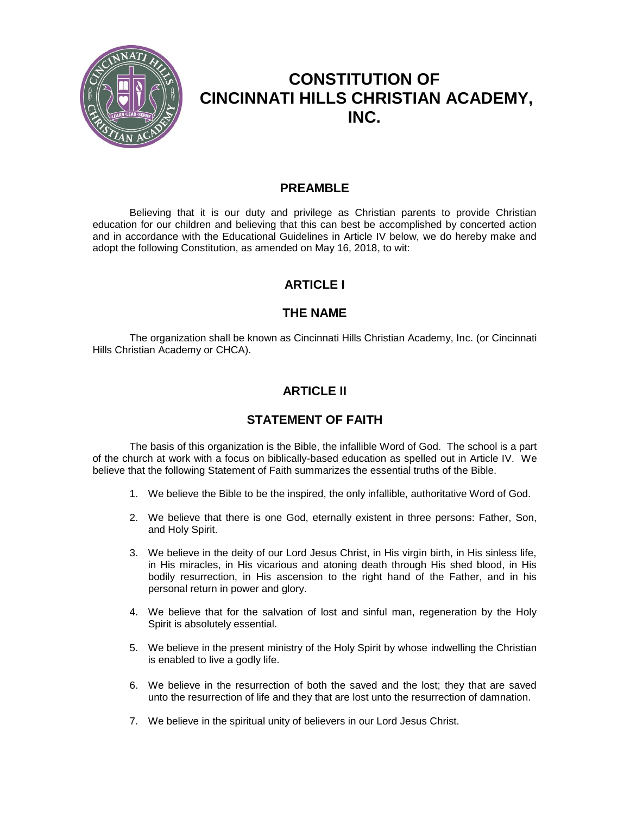

# **CONSTITUTION OF CINCINNATI HILLS CHRISTIAN ACADEMY, INC.**

### **PREAMBLE**

Believing that it is our duty and privilege as Christian parents to provide Christian education for our children and believing that this can best be accomplished by concerted action and in accordance with the Educational Guidelines in Article IV below, we do hereby make and adopt the following Constitution, as amended on May 16, 2018, to wit:

## **ARTICLE I**

## **THE NAME**

The organization shall be known as Cincinnati Hills Christian Academy, Inc. (or Cincinnati Hills Christian Academy or CHCA).

## **ARTICLE II**

## **STATEMENT OF FAITH**

The basis of this organization is the Bible, the infallible Word of God. The school is a part of the church at work with a focus on biblically-based education as spelled out in Article IV. We believe that the following Statement of Faith summarizes the essential truths of the Bible.

- 1. We believe the Bible to be the inspired, the only infallible, authoritative Word of God.
- 2. We believe that there is one God, eternally existent in three persons: Father, Son, and Holy Spirit.
- 3. We believe in the deity of our Lord Jesus Christ, in His virgin birth, in His sinless life, in His miracles, in His vicarious and atoning death through His shed blood, in His bodily resurrection, in His ascension to the right hand of the Father, and in his personal return in power and glory.
- 4. We believe that for the salvation of lost and sinful man, regeneration by the Holy Spirit is absolutely essential.
- 5. We believe in the present ministry of the Holy Spirit by whose indwelling the Christian is enabled to live a godly life.
- 6. We believe in the resurrection of both the saved and the lost; they that are saved unto the resurrection of life and they that are lost unto the resurrection of damnation.
- 7. We believe in the spiritual unity of believers in our Lord Jesus Christ.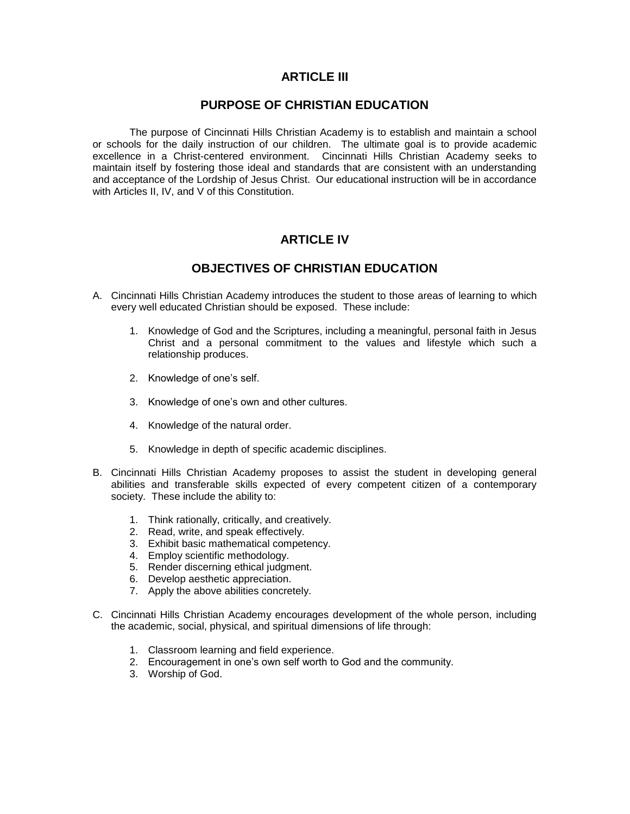### **ARTICLE III**

### **PURPOSE OF CHRISTIAN EDUCATION**

The purpose of Cincinnati Hills Christian Academy is to establish and maintain a school or schools for the daily instruction of our children. The ultimate goal is to provide academic excellence in a Christ-centered environment. Cincinnati Hills Christian Academy seeks to maintain itself by fostering those ideal and standards that are consistent with an understanding and acceptance of the Lordship of Jesus Christ. Our educational instruction will be in accordance with Articles II, IV, and V of this Constitution.

## **ARTICLE IV**

### **OBJECTIVES OF CHRISTIAN EDUCATION**

- A. Cincinnati Hills Christian Academy introduces the student to those areas of learning to which every well educated Christian should be exposed. These include:
	- 1. Knowledge of God and the Scriptures, including a meaningful, personal faith in Jesus Christ and a personal commitment to the values and lifestyle which such a relationship produces.
	- 2. Knowledge of one's self.
	- 3. Knowledge of one's own and other cultures.
	- 4. Knowledge of the natural order.
	- 5. Knowledge in depth of specific academic disciplines.
- B. Cincinnati Hills Christian Academy proposes to assist the student in developing general abilities and transferable skills expected of every competent citizen of a contemporary society. These include the ability to:
	- 1. Think rationally, critically, and creatively.
	- 2. Read, write, and speak effectively.
	- 3. Exhibit basic mathematical competency.
	- 4. Employ scientific methodology.
	- 5. Render discerning ethical judgment.
	- 6. Develop aesthetic appreciation.
	- 7. Apply the above abilities concretely.
- C. Cincinnati Hills Christian Academy encourages development of the whole person, including the academic, social, physical, and spiritual dimensions of life through:
	- 1. Classroom learning and field experience.
	- 2. Encouragement in one's own self worth to God and the community.
	- 3. Worship of God.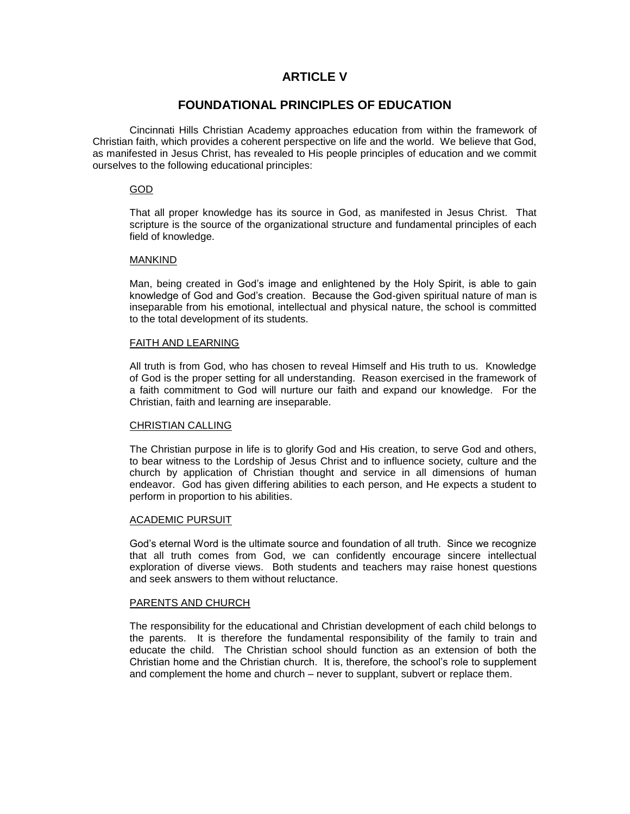### **ARTICLE V**

### **FOUNDATIONAL PRINCIPLES OF EDUCATION**

Cincinnati Hills Christian Academy approaches education from within the framework of Christian faith, which provides a coherent perspective on life and the world. We believe that God, as manifested in Jesus Christ, has revealed to His people principles of education and we commit ourselves to the following educational principles:

### GOD

That all proper knowledge has its source in God, as manifested in Jesus Christ. That scripture is the source of the organizational structure and fundamental principles of each field of knowledge.

### MANKIND

Man, being created in God's image and enlightened by the Holy Spirit, is able to gain knowledge of God and God's creation. Because the God-given spiritual nature of man is inseparable from his emotional, intellectual and physical nature, the school is committed to the total development of its students.

### FAITH AND LEARNING

All truth is from God, who has chosen to reveal Himself and His truth to us. Knowledge of God is the proper setting for all understanding. Reason exercised in the framework of a faith commitment to God will nurture our faith and expand our knowledge. For the Christian, faith and learning are inseparable.

### CHRISTIAN CALLING

The Christian purpose in life is to glorify God and His creation, to serve God and others, to bear witness to the Lordship of Jesus Christ and to influence society, culture and the church by application of Christian thought and service in all dimensions of human endeavor. God has given differing abilities to each person, and He expects a student to perform in proportion to his abilities.

### ACADEMIC PURSUIT

God's eternal Word is the ultimate source and foundation of all truth. Since we recognize that all truth comes from God, we can confidently encourage sincere intellectual exploration of diverse views. Both students and teachers may raise honest questions and seek answers to them without reluctance.

### PARENTS AND CHURCH

The responsibility for the educational and Christian development of each child belongs to the parents. It is therefore the fundamental responsibility of the family to train and educate the child. The Christian school should function as an extension of both the Christian home and the Christian church. It is, therefore, the school's role to supplement and complement the home and church – never to supplant, subvert or replace them.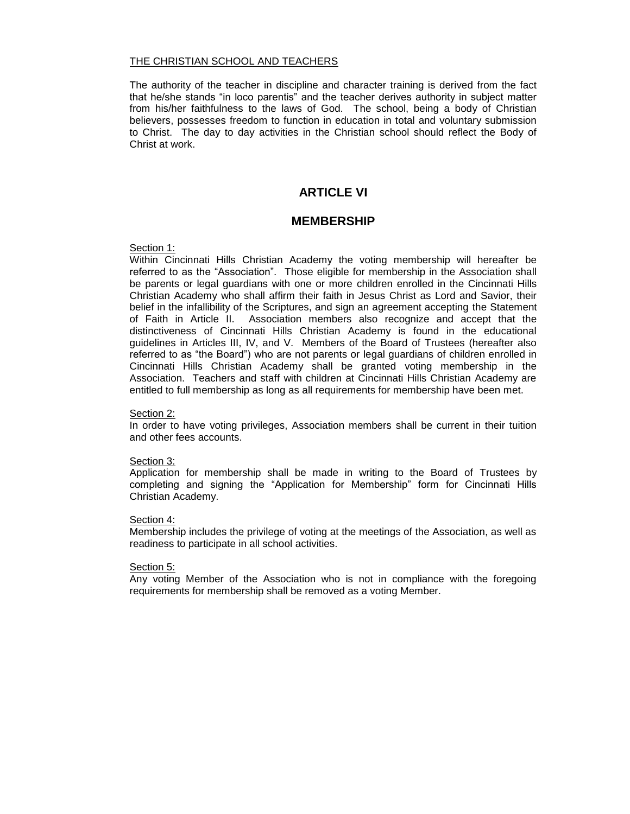### THE CHRISTIAN SCHOOL AND TEACHERS

The authority of the teacher in discipline and character training is derived from the fact that he/she stands "in loco parentis" and the teacher derives authority in subject matter from his/her faithfulness to the laws of God. The school, being a body of Christian believers, possesses freedom to function in education in total and voluntary submission to Christ. The day to day activities in the Christian school should reflect the Body of Christ at work.

### **ARTICLE VI**

### **MEMBERSHIP**

### Section 1:

Within Cincinnati Hills Christian Academy the voting membership will hereafter be referred to as the "Association".Those eligible for membership in the Association shall be parents or legal guardians with one or more children enrolled in the Cincinnati Hills Christian Academy who shall affirm their faith in Jesus Christ as Lord and Savior, their belief in the infallibility of the Scriptures, and sign an agreement accepting the Statement of Faith in Article II. Association members also recognize and accept that the distinctiveness of Cincinnati Hills Christian Academy is found in the educational guidelines in Articles III, IV, and V. Members of the Board of Trustees (hereafter also referred to as "the Board") who are not parents or legal guardians of children enrolled in Cincinnati Hills Christian Academy shall be granted voting membership in the Association. Teachers and staff with children at Cincinnati Hills Christian Academy are entitled to full membership as long as all requirements for membership have been met.

### Section 2:

In order to have voting privileges, Association members shall be current in their tuition and other fees accounts.

### Section 3:

Application for membership shall be made in writing to the Board of Trustees by completing and signing the "Application for Membership" form for Cincinnati Hills Christian Academy.

### Section 4:

Membership includes the privilege of voting at the meetings of the Association, as well as readiness to participate in all school activities.

### Section 5:

Any voting Member of the Association who is not in compliance with the foregoing requirements for membership shall be removed as a voting Member.